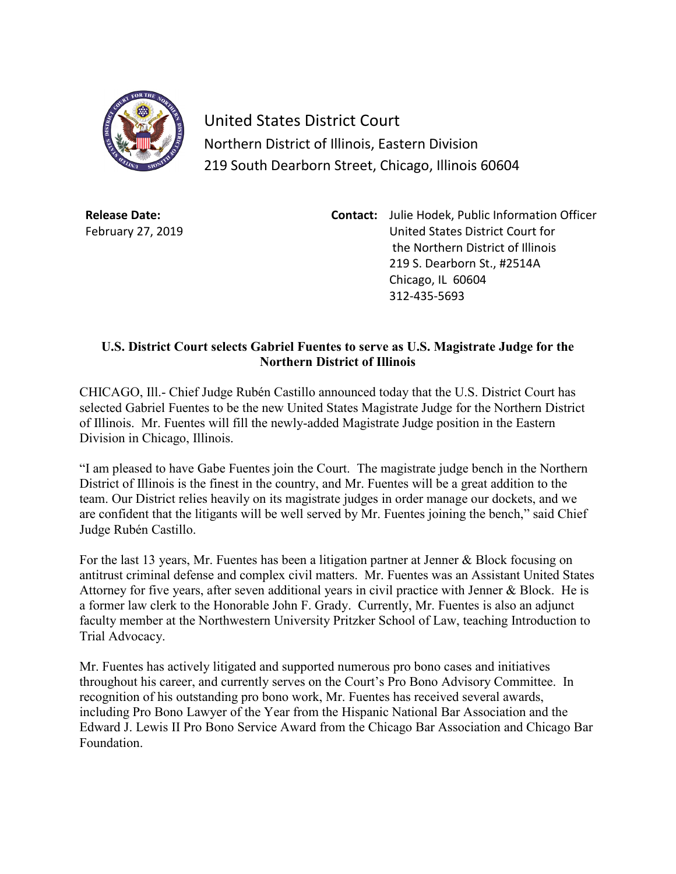

United States District Court Northern District of Illinois, Eastern Division 219 South Dearborn Street, Chicago, Illinois 60604

**Release Date:** February 27, 2019 **Contact:** Julie Hodek, Public Information Officer United States District Court for the Northern District of Illinois 219 S. Dearborn St., #2514A Chicago, IL 60604 312-435-5693

## **U.S. District Court selects Gabriel Fuentes to serve as U.S. Magistrate Judge for the Northern District of Illinois**

CHICAGO, Ill.- Chief Judge Rubén Castillo announced today that the U.S. District Court has selected Gabriel Fuentes to be the new United States Magistrate Judge for the Northern District of Illinois. Mr. Fuentes will fill the newly-added Magistrate Judge position in the Eastern Division in Chicago, Illinois.

"I am pleased to have Gabe Fuentes join the Court. The magistrate judge bench in the Northern District of Illinois is the finest in the country, and Mr. Fuentes will be a great addition to the team. Our District relies heavily on its magistrate judges in order manage our dockets, and we are confident that the litigants will be well served by Mr. Fuentes joining the bench," said Chief Judge Rubén Castillo.

For the last 13 years, Mr. Fuentes has been a litigation partner at Jenner & Block focusing on antitrust criminal defense and complex civil matters. Mr. Fuentes was an Assistant United States Attorney for five years, after seven additional years in civil practice with Jenner & Block. He is a former law clerk to the Honorable John F. Grady. Currently, Mr. Fuentes is also an adjunct faculty member at the Northwestern University Pritzker School of Law, teaching Introduction to Trial Advocacy.

Mr. Fuentes has actively litigated and supported numerous pro bono cases and initiatives throughout his career, and currently serves on the Court's Pro Bono Advisory Committee. In recognition of his outstanding pro bono work, Mr. Fuentes has received several awards, including Pro Bono Lawyer of the Year from the Hispanic National Bar Association and the Edward J. Lewis II Pro Bono Service Award from the Chicago Bar Association and Chicago Bar Foundation.